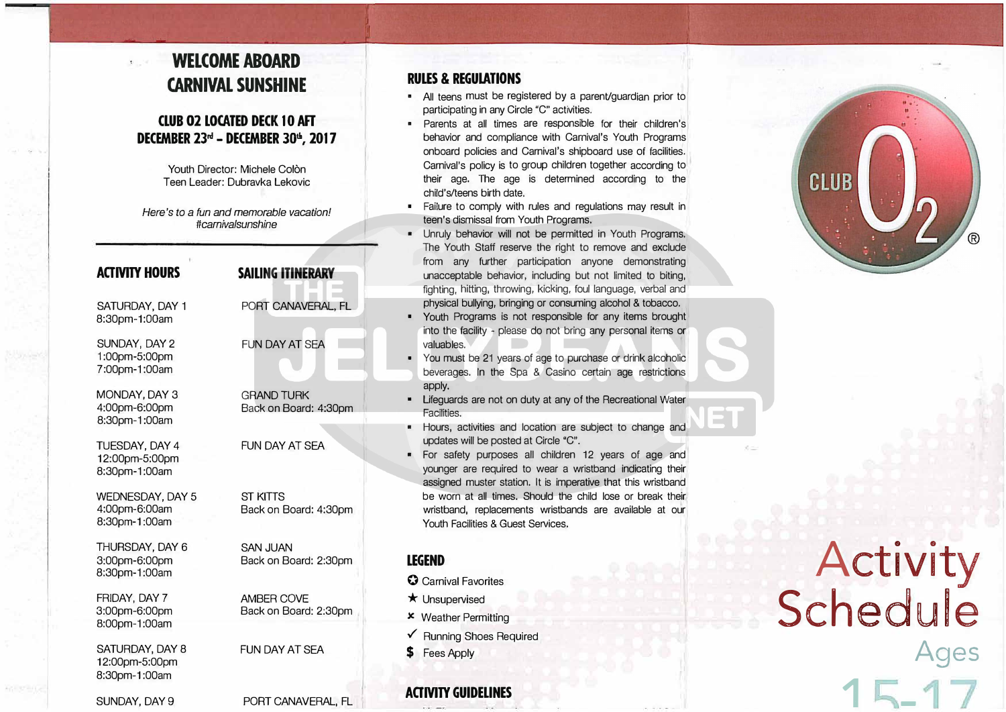## **WELCOME ABOARD CARNIVAL SUNSHINE**

<sup>I</sup>**:ii•.,:;,,.,.··:�··;·•'·,'-:** fl.....:'J.,,,. � .1.\_\_�..!i.l- **,, . .. , I** -· �. �;, • • • • - .. � . • . • ..... - •

### **CLUB 02 LOCATED DECK 10 AFT DECEMBER 23rd - DECEMBER JOt1i , 2017**

Youth Director: Michele Colòn Teen Leader: Dubravka Lekovic

Here's *to a fun and memorable vacation! ltcarnivalsunshine* 

| <b>ACTIVITY HOURS</b>                              | <b>SAILING ITINERARY</b>                   |
|----------------------------------------------------|--------------------------------------------|
| SATURDAY, DAY 1<br>8:30pm-1:00am                   | PORT CANAVERAL, FL                         |
| SUNDAY, DAY 2<br>1:00pm-5:00pm<br>7:00pm-1:00am    | <b>FUN DAY AT SEA</b>                      |
| MONDAY, DAY 3<br>4:00pm-6:00pm<br>8:30pm-1:00am    | <b>GRAND TURK</b><br>Back on Board: 4:30pm |
| TUESDAY, DAY 4<br>12:00pm-5:00pm<br>8:30pm-1:00am  | FUN DAY AT SEA                             |
| WEDNESDAY, DAY 5<br>4:00pm-6:00am<br>8:30pm-1:00am | <b>ST KITTS</b><br>Back on Board: 4:30pm   |
| THURSDAY, DAY 6<br>3:00pm-6:00pm<br>8:30pm-1:00am  | <b>SAN JUAN</b><br>Back on Board: 2:30pm   |
| FRIDAY, DAY 7<br>3:00pm-6:00pm<br>8:00pm-1:00am    | AMBER COVE<br>Back on Board: 2:30pm        |
| SATURDAY, DAY 8<br>12:00pm-5:00pm<br>8:30pm-1:00am | FUN DAY AT SFA                             |
| SUNDAY, DAY 9                                      | PORT CANAVERAL, FL                         |

#### **RULES & REGUlATIONS**

- All teens must be registered by a parenVguardian prior to participating in any Circle "C" activities.
- Parents at all times are responsible for their children's behavior and compliance with Carnival's Youth Programs onboard policies and Carnival's shipboard use of facilities. Carnival's policy is to group children together according to their age. The age is determined according to the child's/teens birth date.
- Failure to comply with rules and regulations may result in teen's dismissal from Youth Programs.
- Unruly behavior will not be permitted in Youth Programs. The Youth Staff reserve the right to remove and exclude from any further participation anyone demonstrating unacceptable behavior, including but not limited to biting, fighting, hitting, throwing, kicking, foul language, verbal and physical bullying, bringing or consuming alcohol & tobacco.
- Youth Programs is not responsible for any items brought into the facility - please do not bring any personal items or valuables.
- You must be 21 years of age to purchase or drink alcoholic beverages. In the Spa & Casino certain age restrictions apply.
- Lifeguards are not on duty at any of the Recreational Water Facilities.
- Hours, activities and location are subject to change and updates will be posted at Circle "C".
- For safety purposes all children 12 years of age and younger are required to wear a wristband indicating their assigned muster station. It is imperative that this wristband be worn at all times. Should the child lose or break their wristband, replacements wristbands are available at our Youth Facilities & Guest Services.

#### **LEGEND**

- **0** Carnival Favorites
- $\star$  Unsupervised
- x Weather Permitting
- $\sqrt{\phantom{a}}$  Running Shoes Required
- **\$** Fees Apply

**ACJMlY GUIDELINES** 

Activity Schedule **Ages**   $15 -$ 

CLUB